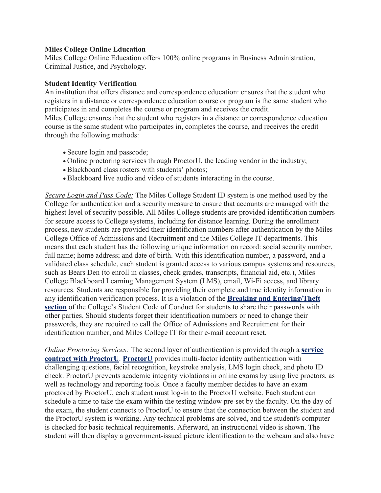## **Miles College Online Education**

Miles College Online Education offers 100% online programs in Business Administration, Criminal Justice, and Psychology.

## **Student Identity Verification**

An institution that offers distance and correspondence education: ensures that the student who registers in a distance or correspondence education course or program is the same student who participates in and completes the course or program and receives the credit.

Miles College ensures that the student who registers in a distance or correspondence education course is the same student who participates in, completes the course, and receives the credit through the following methods:

- Secure login and passcode;
- Online proctoring services through ProctorU, the leading vendor in the industry;
- Blackboard class rosters with students' photos;
- Blackboard live audio and video of students interacting in the course.

*Secure Login and Pass Code:* The Miles College Student ID system is one method used by the College for authentication and a security measure to ensure that accounts are managed with the highest level of security possible. All Miles College students are provided identification numbers for secure access to College systems, including for distance learning. During the enrollment process, new students are provided their identification numbers after authentication by the Miles College Office of Admissions and Recruitment and the Miles College IT departments. This means that each student has the following unique information on record: social security number, full name; home address; and date of birth. With this identification number, a password, and a validated class schedule, each student is granted access to various campus systems and resources, such as Bears Den (to enroll in classes, check grades, transcripts, financial aid, etc.), Miles College Blackboard Learning Management System (LMS), email, Wi-Fi access, and library resources. Students are responsible for providing their complete and true identity information in any identification verification process. It is a violation of the **Breaking and Entering/Theft section** of the College's Student Code of Conduct for students to share their passwords with other parties. Should students forget their identification numbers or need to change their passwords, they are required to call the Office of Admissions and Recruitment for their identification number, and Miles College IT for their e-mail account reset.

*Online Proctoring Services:* The second layer of authentication is provided through a **service contract with ProctorU**. **ProctorU** provides multi-factor identity authentication with challenging questions, facial recognition, keystroke analysis, LMS login check, and photo ID check. ProctorU prevents academic integrity violations in online exams by using live proctors, as well as technology and reporting tools. Once a faculty member decides to have an exam proctored by ProctorU, each student must log-in to the ProctorU website. Each student can schedule a time to take the exam within the testing window pre-set by the faculty. On the day of the exam, the student connects to ProctorU to ensure that the connection between the student and the ProctorU system is working. Any technical problems are solved, and the student's computer is checked for basic technical requirements. Afterward, an instructional video is shown. The student will then display a government-issued picture identification to the webcam and also have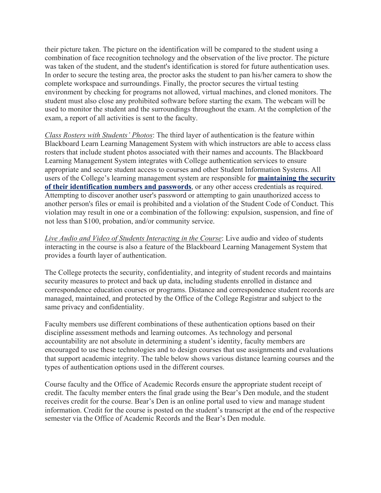their picture taken. The picture on the identification will be compared to the student using a combination of face recognition technology and the observation of the live proctor. The picture was taken of the student, and the student's identification is stored for future authentication uses. In order to secure the testing area, the proctor asks the student to pan his/her camera to show the complete workspace and surroundings. Finally, the proctor secures the virtual testing environment by checking for programs not allowed, virtual machines, and cloned monitors. The student must also close any prohibited software before starting the exam. The webcam will be used to monitor the student and the surroundings throughout the exam. At the completion of the exam, a report of all activities is sent to the faculty.

*Class Rosters with Students' Photos*: The third layer of authentication is the feature within Blackboard Learn Learning Management System with which instructors are able to access class rosters that include student photos associated with their names and accounts. The Blackboard Learning Management System integrates with College authentication services to ensure appropriate and secure student access to courses and other Student Information Systems. All users of the College's learning management system are responsible for **maintaining the security of their identification numbers and passwords**, or any other access credentials as required. Attempting to discover another user's password or attempting to gain unauthorized access to another person's files or email is prohibited and a violation of the Student Code of Conduct. This violation may result in one or a combination of the following: expulsion, suspension, and fine of not less than \$100, probation, and/or community service.

*Live Audio and Video of Students Interacting in the Course*: Live audio and video of students interacting in the course is also a feature of the Blackboard Learning Management System that provides a fourth layer of authentication.

The College protects the security, confidentiality, and integrity of student records and maintains security measures to protect and back up data, including students enrolled in distance and correspondence education courses or programs. Distance and correspondence student records are managed, maintained, and protected by the Office of the College Registrar and subject to the same privacy and confidentiality.

Faculty members use different combinations of these authentication options based on their discipline assessment methods and learning outcomes. As technology and personal accountability are not absolute in determining a student's identity, faculty members are encouraged to use these technologies and to design courses that use assignments and evaluations that support academic integrity. The table below shows various distance learning courses and the types of authentication options used in the different courses.

Course faculty and the Office of Academic Records ensure the appropriate student receipt of credit. The faculty member enters the final grade using the Bear's Den module, and the student receives credit for the course. Bear's Den is an online portal used to view and manage student information. Credit for the course is posted on the student's transcript at the end of the respective semester via the Office of Academic Records and the Bear's Den module.